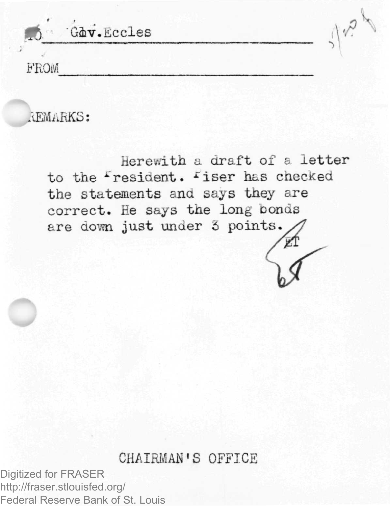Gdv.Eccles **B'ROM**

AEMAHKS:

Herewith a draft of a letter to the Fresident. Fiser has checke the statements and says they are correct. He says the long bonds are down just under 3 points.

## CHAIRMAN'S OFFICE

Digitized for FRASER http://fraser.stlouisfed.org/ Federal Reserve Bank of St. Louis